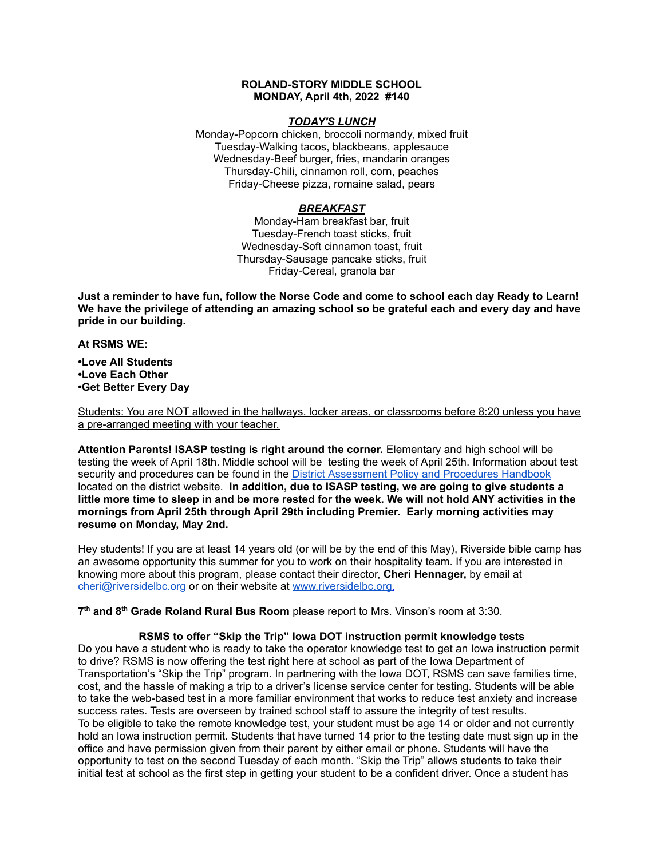## **ROLAND-STORY MIDDLE SCHOOL MONDAY, April 4th, 2022 #140**

#### *TODAY'S LUNCH*

Monday-Popcorn chicken, broccoli normandy, mixed fruit Tuesday-Walking tacos, blackbeans, applesauce Wednesday-Beef burger, fries, mandarin oranges Thursday-Chili, cinnamon roll, corn, peaches Friday-Cheese pizza, romaine salad, pears

# *BREAKFAST*

Monday-Ham breakfast bar, fruit Tuesday-French toast sticks, fruit Wednesday-Soft cinnamon toast, fruit Thursday-Sausage pancake sticks, fruit Friday-Cereal, granola bar

Just a reminder to have fun, follow the Norse Code and come to school each day Ready to Learn! **We have the privilege of attending an amazing school so be grateful each and every day and have pride in our building.**

#### **At RSMS WE:**

**•Love All Students •Love Each Other •Get Better Every Day**

Students: You are NOT allowed in the hallways, locker areas, or classrooms before 8:20 unless you have a pre-arranged meeting with your teacher.

**Attention Parents! ISASP testing is right around the corner.** Elementary and high school will be testing the week of April 18th. Middle school will be testing the week of April 25th. Information about test security and procedures can be found in the District [Assessment](https://rolandstory.school/media/Michelle%20Soderstrum/RSCSD_District_Assessment_Poli%20-%20Copy%203.pdf) Policy and Procedures Handbook located on the district website. **In addition, due to ISASP testing, we are going to give students a** little more time to sleep in and be more rested for the week. We will not hold ANY activities in the **mornings from April 25th through April 29th including Premier. Early morning activities may resume on Monday, May 2nd.**

Hey students! If you are at least 14 years old (or will be by the end of this May), Riverside bible camp has an awesome opportunity this summer for you to work on their hospitality team. If you are interested in knowing more about this program, please contact their director, **Cheri Hennager,** by email at cheri@riversidelbc.org or on their website at [www.riversidelbc.org.](http://www.riversidelbc.org/)

**7 th and 8 th Grade Roland Rural Bus Room** please report to Mrs. Vinson's room at 3:30.

### **RSMS to offer "Skip the Trip" Iowa DOT instruction permit knowledge tests**

Do you have a student who is ready to take the operator knowledge test to get an Iowa instruction permit to drive? RSMS is now offering the test right here at school as part of the Iowa Department of Transportation's "Skip the Trip" program. In partnering with the Iowa DOT, RSMS can save families time, cost, and the hassle of making a trip to a driver's license service center for testing. Students will be able to take the web-based test in a more familiar environment that works to reduce test anxiety and increase success rates. Tests are overseen by trained school staff to assure the integrity of test results. To be eligible to take the remote knowledge test, your student must be age 14 or older and not currently hold an Iowa instruction permit. Students that have turned 14 prior to the testing date must sign up in the office and have permission given from their parent by either email or phone. Students will have the opportunity to test on the second Tuesday of each month. "Skip the Trip" allows students to take their initial test at school as the first step in getting your student to be a confident driver. Once a student has